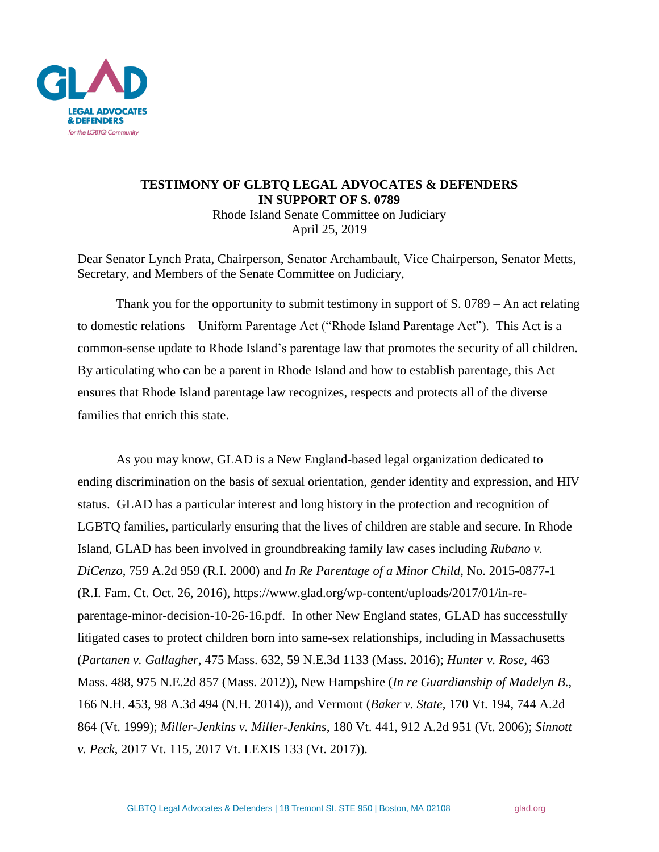

## **TESTIMONY OF GLBTQ LEGAL ADVOCATES & DEFENDERS IN SUPPORT OF S. 0789**

Rhode Island Senate Committee on Judiciary April 25, 2019

Dear Senator Lynch Prata, Chairperson, Senator Archambault, Vice Chairperson, Senator Metts, Secretary, and Members of the Senate Committee on Judiciary,

Thank you for the opportunity to submit testimony in support of S. 0789 – An act relating to domestic relations – Uniform Parentage Act ("Rhode Island Parentage Act"). This Act is a common-sense update to Rhode Island's parentage law that promotes the security of all children. By articulating who can be a parent in Rhode Island and how to establish parentage, this Act ensures that Rhode Island parentage law recognizes, respects and protects all of the diverse families that enrich this state.

As you may know, GLAD is a New England-based legal organization dedicated to ending discrimination on the basis of sexual orientation, gender identity and expression, and HIV status. GLAD has a particular interest and long history in the protection and recognition of LGBTQ families, particularly ensuring that the lives of children are stable and secure. In Rhode Island, GLAD has been involved in groundbreaking family law cases including *Rubano v. DiCenzo*, 759 A.2d 959 (R.I. 2000) and *In Re Parentage of a Minor Child*, No. 2015-0877-1 (R.I. Fam. Ct. Oct. 26, 2016), https://www.glad.org/wp-content/uploads/2017/01/in-reparentage-minor-decision-10-26-16.pdf. In other New England states, GLAD has successfully litigated cases to protect children born into same-sex relationships, including in Massachusetts (*Partanen v. Gallagher*, 475 Mass. 632, 59 N.E.3d 1133 (Mass. 2016); *Hunter v. Rose*, 463 Mass. 488, 975 N.E.2d 857 (Mass. 2012)), New Hampshire (*In re Guardianship of Madelyn B*., 166 N.H. 453, 98 A.3d 494 (N.H. 2014)), and Vermont (*Baker v. State,* 170 Vt. 194, 744 A.2d 864 (Vt. 1999); *Miller-Jenkins v. Miller-Jenkins*, 180 Vt. 441, 912 A.2d 951 (Vt. 2006); *Sinnott v. Peck*, 2017 Vt. 115, 2017 Vt. LEXIS 133 (Vt. 2017)).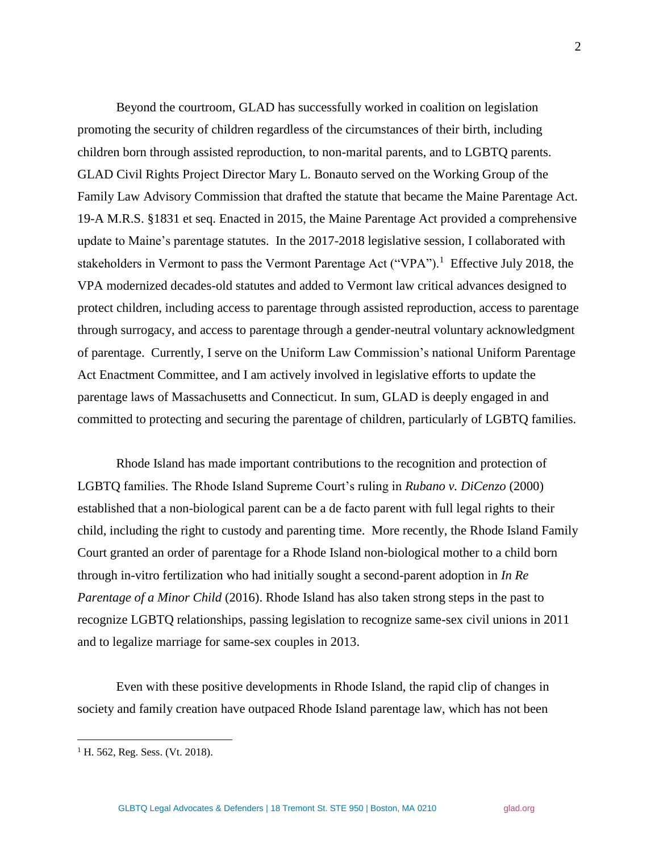Beyond the courtroom, GLAD has successfully worked in coalition on legislation promoting the security of children regardless of the circumstances of their birth, including children born through assisted reproduction, to non-marital parents, and to LGBTQ parents. GLAD Civil Rights Project Director Mary L. Bonauto served on the Working Group of the Family Law Advisory Commission that drafted the statute that became the Maine Parentage Act. 19-A M.R.S. §1831 et seq. Enacted in 2015, the Maine Parentage Act provided a comprehensive update to Maine's parentage statutes. In the 2017-2018 legislative session, I collaborated with stakeholders in Vermont to pass the Vermont Parentage Act ("VPA").<sup>1</sup> Effective July 2018, the VPA modernized decades-old statutes and added to Vermont law critical advances designed to protect children, including access to parentage through assisted reproduction, access to parentage through surrogacy, and access to parentage through a gender-neutral voluntary acknowledgment of parentage. Currently, I serve on the Uniform Law Commission's national Uniform Parentage Act Enactment Committee, and I am actively involved in legislative efforts to update the parentage laws of Massachusetts and Connecticut. In sum, GLAD is deeply engaged in and committed to protecting and securing the parentage of children, particularly of LGBTQ families.

Rhode Island has made important contributions to the recognition and protection of LGBTQ families. The Rhode Island Supreme Court's ruling in *Rubano v. DiCenzo* (2000) established that a non-biological parent can be a de facto parent with full legal rights to their child, including the right to custody and parenting time. More recently, the Rhode Island Family Court granted an order of parentage for a Rhode Island non-biological mother to a child born through in-vitro fertilization who had initially sought a second-parent adoption in *In Re Parentage of a Minor Child* (2016). Rhode Island has also taken strong steps in the past to recognize LGBTQ relationships, passing legislation to recognize same-sex civil unions in 2011 and to legalize marriage for same-sex couples in 2013.

Even with these positive developments in Rhode Island, the rapid clip of changes in society and family creation have outpaced Rhode Island parentage law, which has not been

 $\overline{a}$ 

 $<sup>1</sup>$  H. 562, Reg. Sess. (Vt. 2018).</sup>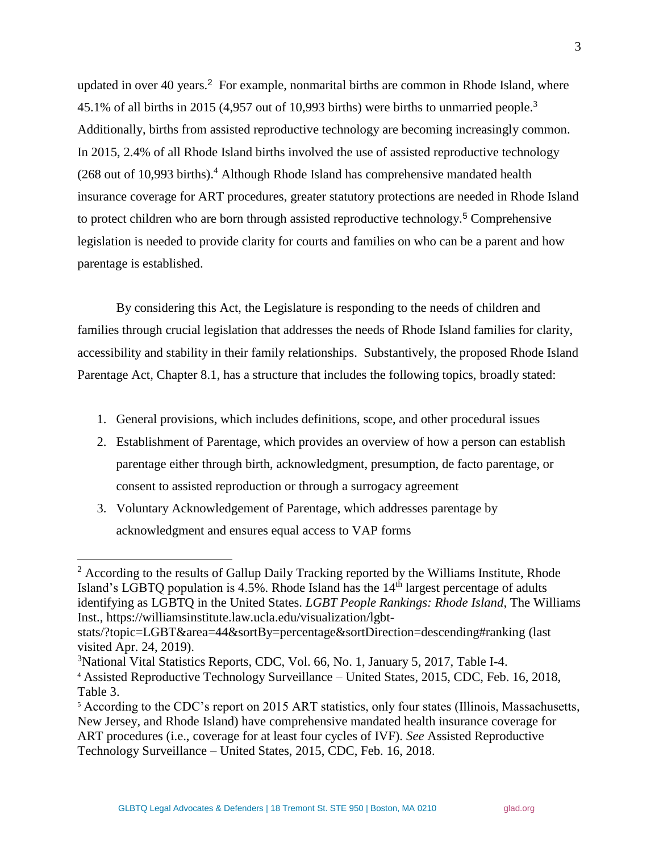updated in over 40 years. <sup>2</sup> For example, nonmarital births are common in Rhode Island, where 45.1% of all births in 2015 (4,957 out of 10,993 births) were births to unmarried people.<sup>3</sup> Additionally, births from assisted reproductive technology are becoming increasingly common. In 2015, 2.4% of all Rhode Island births involved the use of assisted reproductive technology (268 out of 10,993 births).<sup>4</sup> Although Rhode Island has comprehensive mandated health insurance coverage for ART procedures, greater statutory protections are needed in Rhode Island to protect children who are born through assisted reproductive technology.<sup>5</sup> Comprehensive legislation is needed to provide clarity for courts and families on who can be a parent and how parentage is established.

By considering this Act, the Legislature is responding to the needs of children and families through crucial legislation that addresses the needs of Rhode Island families for clarity, accessibility and stability in their family relationships. Substantively, the proposed Rhode Island Parentage Act, Chapter 8.1, has a structure that includes the following topics, broadly stated:

- 1. General provisions, which includes definitions, scope, and other procedural issues
- 2. Establishment of Parentage, which provides an overview of how a person can establish parentage either through birth, acknowledgment, presumption, de facto parentage, or consent to assisted reproduction or through a surrogacy agreement
- 3. Voluntary Acknowledgement of Parentage, which addresses parentage by acknowledgment and ensures equal access to VAP forms

l

 $2 \text{ According to the results of Gallup Daily Tracking reported by the Williams Institute, Rhode}$ Island's LGBTQ population is  $4.5\%$ . Rhode Island has the  $14<sup>th</sup>$  largest percentage of adults identifying as LGBTQ in the United States. *LGBT People Rankings: Rhode Island*, The Williams Inst., https://williamsinstitute.law.ucla.edu/visualization/lgbt-

stats/?topic=LGBT&area=44&sortBy=percentage&sortDirection=descending#ranking (last visited Apr. 24, 2019).

<sup>&</sup>lt;sup>3</sup>National Vital Statistics Reports, CDC, Vol. 66, No. 1, January 5, 2017, Table I-4.

<sup>4</sup> Assisted Reproductive Technology Surveillance – United States, 2015, CDC, Feb. 16, 2018, Table 3.

<sup>&</sup>lt;sup>5</sup> According to the CDC's report on 2015 ART statistics, only four states (Illinois, Massachusetts, New Jersey, and Rhode Island) have comprehensive mandated health insurance coverage for ART procedures (i.e., coverage for at least four cycles of IVF). *See* Assisted Reproductive Technology Surveillance – United States, 2015, CDC, Feb. 16, 2018.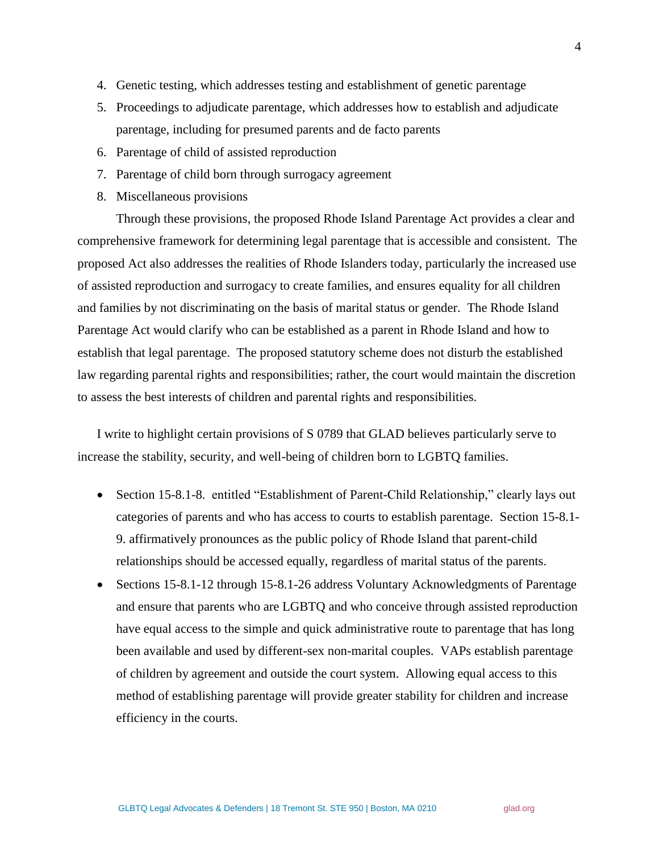- 4. Genetic testing, which addresses testing and establishment of genetic parentage
- 5. Proceedings to adjudicate parentage, which addresses how to establish and adjudicate parentage, including for presumed parents and de facto parents
- 6. Parentage of child of assisted reproduction
- 7. Parentage of child born through surrogacy agreement
- 8. Miscellaneous provisions

Through these provisions, the proposed Rhode Island Parentage Act provides a clear and comprehensive framework for determining legal parentage that is accessible and consistent. The proposed Act also addresses the realities of Rhode Islanders today, particularly the increased use of assisted reproduction and surrogacy to create families, and ensures equality for all children and families by not discriminating on the basis of marital status or gender. The Rhode Island Parentage Act would clarify who can be established as a parent in Rhode Island and how to establish that legal parentage. The proposed statutory scheme does not disturb the established law regarding parental rights and responsibilities; rather, the court would maintain the discretion to assess the best interests of children and parental rights and responsibilities.

I write to highlight certain provisions of S 0789 that GLAD believes particularly serve to increase the stability, security, and well-being of children born to LGBTQ families.

- Section 15-8.1-8. entitled "Establishment of Parent-Child Relationship," clearly lays out categories of parents and who has access to courts to establish parentage. Section 15-8.1- 9. affirmatively pronounces as the public policy of Rhode Island that parent-child relationships should be accessed equally, regardless of marital status of the parents.
- Sections 15-8.1-12 through 15-8.1-26 address Voluntary Acknowledgments of Parentage and ensure that parents who are LGBTQ and who conceive through assisted reproduction have equal access to the simple and quick administrative route to parentage that has long been available and used by different-sex non-marital couples. VAPs establish parentage of children by agreement and outside the court system. Allowing equal access to this method of establishing parentage will provide greater stability for children and increase efficiency in the courts.